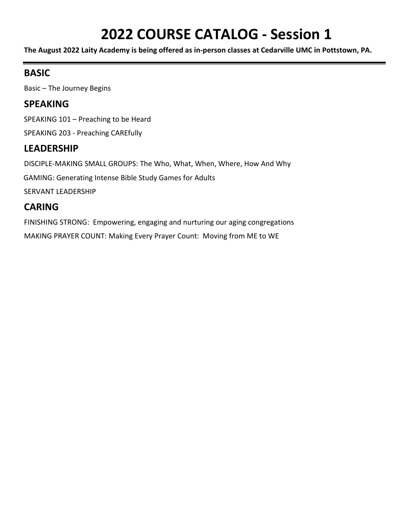# **2022 COURSE CATALOG - Session 1**

**The August 2022 Laity Academy is being offered as in-person classes at Cedarville UMC in Pottstown, PA.** 

## **BASIC**

Basic – The Journey Begins

## **SPEAKING**

SPEAKING 101 – Preaching to be Heard

SPEAKING 203 - Preaching CAREfully

## **LEADERSHIP**

DISCIPLE-MAKING SMALL GROUPS: The Who, What, When, Where, How And Why

GAMING: Generating Intense Bible Study Games for Adults

SERVANT LEADERSHIP

# **CARING**

FINISHING STRONG: Empowering, engaging and nurturing our aging congregations MAKING PRAYER COUNT: Making Every Prayer Count: Moving from ME to WE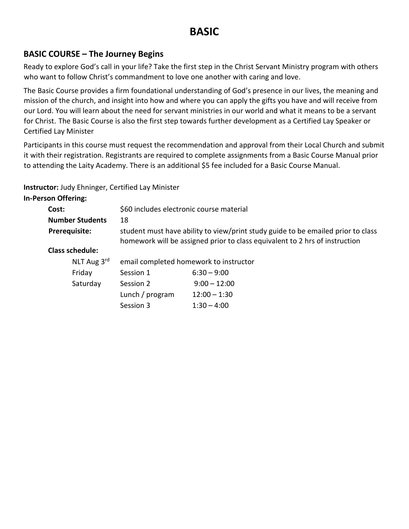# **BASIC**

## **BASIC COURSE – The Journey Begins**

Ready to explore God's call in your life? Take the first step in the Christ Servant Ministry program with others who want to follow Christ's commandment to love one another with caring and love.

The Basic Course provides a firm foundational understanding of God's presence in our lives, the meaning and mission of the church, and insight into how and where you can apply the gifts you have and will receive from our Lord. You will learn about the need for servant ministries in our world and what it means to be a servant for Christ. The Basic Course is also the first step towards further development as a Certified Lay Speaker or Certified Lay Minister

Participants in this course must request the recommendation and approval from their Local Church and submit it with their registration. Registrants are required to complete assignments from a Basic Course Manual prior to attending the Laity Academy. There is an additional \$5 fee included for a Basic Course Manual.

**Instructor:** Judy Ehninger, Certified Lay Minister

**In-Person Offering:**

| Cost:                                                                                                                                                                                   | \$60 includes electronic course material |                |  |
|-----------------------------------------------------------------------------------------------------------------------------------------------------------------------------------------|------------------------------------------|----------------|--|
| <b>Number Students</b>                                                                                                                                                                  | 18                                       |                |  |
| student must have ability to view/print study guide to be emailed prior to class<br><b>Prerequisite:</b><br>homework will be assigned prior to class equivalent to 2 hrs of instruction |                                          |                |  |
| <b>Class schedule:</b>                                                                                                                                                                  |                                          |                |  |
| NLT Aug $3^{\text{rd}}$                                                                                                                                                                 | email completed homework to instructor   |                |  |
| Friday                                                                                                                                                                                  | Session 1                                | $6:30 - 9:00$  |  |
| Saturday                                                                                                                                                                                | Session 2                                | $9:00 - 12:00$ |  |
|                                                                                                                                                                                         | Lunch / program                          | $12:00 - 1:30$ |  |
|                                                                                                                                                                                         | Session 3                                | $1:30 - 4:00$  |  |
|                                                                                                                                                                                         |                                          |                |  |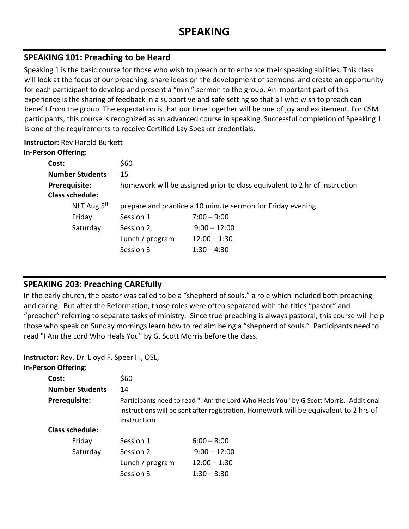#### **SPEAKING 101: Preaching to be Heard**

Speaking 1 is the basic course for those who wish to preach or to enhance their speaking abilities. This class will look at the focus of our preaching, share ideas on the development of sermons, and create an opportunity for each participant to develop and present a "mini" sermon to the group. An important part of this experience is the sharing of feedback in a supportive and safe setting so that all who wish to preach can benefit from the group. The expectation is that our time together will be one of joy and excitement. For CSM participants, this course is recognized as an advanced course in speaking. Successful completion of Speaking 1 is one of the requirements to receive Certified Lay Speaker credentials.

#### **Instructor:** Rev Harold Burkett **In-Person Offering:**

| יאוויוטווע ווטכוט וווג  |                                                                            |                |
|-------------------------|----------------------------------------------------------------------------|----------------|
| Cost:                   | \$60                                                                       |                |
| <b>Number Students</b>  | 15                                                                         |                |
| Prerequisite:           | homework will be assigned prior to class equivalent to 2 hr of instruction |                |
| <b>Class schedule:</b>  |                                                                            |                |
| NLT Aug 5 <sup>th</sup> | prepare and practice a 10 minute sermon for Friday evening                 |                |
| Friday                  | Session 1                                                                  | $7:00 - 9:00$  |
| Saturday                | Session 2                                                                  | $9:00 - 12:00$ |
|                         | Lunch / program                                                            | $12:00 - 1:30$ |
|                         | Session 3                                                                  | $1:30 - 4:30$  |
|                         |                                                                            |                |

## **SPEAKING 203: Preaching CAREfully**

In the early church, the pastor was called to be a "shepherd of souls," a role which included both preaching and caring. But after the Reformation, those roles were often separated with the titles "pastor" and "preacher" referring to separate tasks of ministry. Since true preaching is always pastoral, this course will help those who speak on Sunday mornings learn how to reclaim being a "shepherd of souls." Participants need to read "I Am the Lord Who Heals You" by G. Scott Morris before the class.

**Instructor:** Rev. Dr. Lloyd F. Speer III, OSL,

| <b>In-Person Offering:</b> |                                                                                                                                                                                               |                |  |
|----------------------------|-----------------------------------------------------------------------------------------------------------------------------------------------------------------------------------------------|----------------|--|
| Cost:                      | \$60                                                                                                                                                                                          |                |  |
| <b>Number Students</b>     | 14                                                                                                                                                                                            |                |  |
| Prerequisite:              | Participants need to read "I Am the Lord Who Heals You" by G Scott Morris. Additional<br>instructions will be sent after registration. Homework will be equivalent to 2 hrs of<br>instruction |                |  |
| Class schedule:            |                                                                                                                                                                                               |                |  |
| Friday                     | Session 1                                                                                                                                                                                     | $6:00 - 8:00$  |  |
| Saturday                   | Session 2                                                                                                                                                                                     | $9:00 - 12:00$ |  |
|                            | Lunch / program                                                                                                                                                                               | $12:00 - 1:30$ |  |
|                            | Session 3                                                                                                                                                                                     | $1:30 - 3:30$  |  |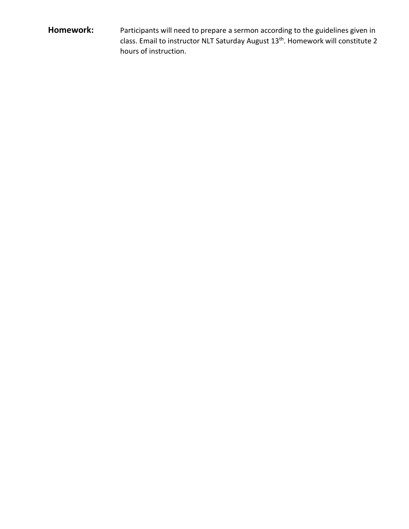## **Homework:** Participants will need to prepare a sermon according to the guidelines given in class. Email to instructor NLT Saturday August 13<sup>th</sup>. Homework will constitute 2 hours of instruction.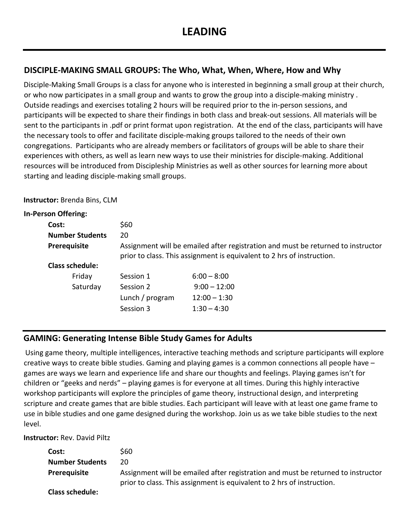#### **DISCIPLE-MAKING SMALL GROUPS: The Who, What, When, Where, How and Why**

Disciple-Making Small Groups is a class for anyone who is interested in beginning a small group at their church, or who now participates in a small group and wants to grow the group into a disciple-making ministry . Outside readings and exercises totaling 2 hours will be required prior to the in-person sessions, and participants will be expected to share their findings in both class and break-out sessions. All materials will be sent to the participants in .pdf or print format upon registration. At the end of the class, participants will have the necessary tools to offer and facilitate disciple-making groups tailored to the needs of their own congregations. Participants who are already members or facilitators of groups will be able to share their experiences with others, as well as learn new ways to use their ministries for disciple-making. Additional resources will be introduced from Discipleship Ministries as well as other sources for learning more about starting and leading disciple-making small groups.

**Instructor:** Brenda Bins, CLM

| <b>In-Person Offering:</b> |                                                                                                                                                            |                |
|----------------------------|------------------------------------------------------------------------------------------------------------------------------------------------------------|----------------|
| Cost:                      | \$60                                                                                                                                                       |                |
| <b>Number Students</b>     | 20                                                                                                                                                         |                |
| Prerequisite               | Assignment will be emailed after registration and must be returned to instructor<br>prior to class. This assignment is equivalent to 2 hrs of instruction. |                |
| <b>Class schedule:</b>     |                                                                                                                                                            |                |
| Friday                     | Session 1                                                                                                                                                  | $6:00 - 8:00$  |
| Saturday                   | Session 2                                                                                                                                                  | $9:00 - 12:00$ |
|                            | Lunch / program                                                                                                                                            | $12:00 - 1:30$ |
|                            | Session 3                                                                                                                                                  | $1:30 - 4:30$  |

## **GAMING: Generating Intense Bible Study Games for Adults**

Using game theory, multiple intelligences, interactive teaching methods and scripture participants will explore creative ways to create bible studies. Gaming and playing games is a common connections all people have – games are ways we learn and experience life and share our thoughts and feelings. Playing games isn't for children or "geeks and nerds" – playing games is for everyone at all times. During this highly interactive workshop participants will explore the principles of game theory, instructional design, and interpreting scripture and create games that are bible studies. Each participant will leave with at least one game frame to use in bible studies and one game designed during the workshop. Join us as we take bible studies to the next level.

**Instructor:** Rev. David Piltz

| Cost:                  | S60                                                                                                                                                        |
|------------------------|------------------------------------------------------------------------------------------------------------------------------------------------------------|
| <b>Number Students</b> | 20                                                                                                                                                         |
| <b>Prerequisite</b>    | Assignment will be emailed after registration and must be returned to instructor<br>prior to class. This assignment is equivalent to 2 hrs of instruction. |
| <b>Class schedule:</b> |                                                                                                                                                            |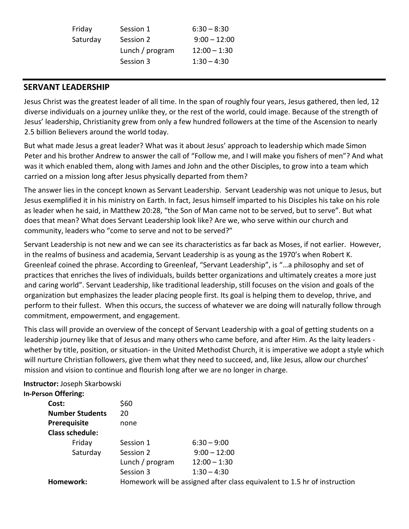| Session 1       | $6:30 - 8:30$  |
|-----------------|----------------|
| Session 2       | $9:00 - 12:00$ |
| Lunch / program | $12:00 - 1:30$ |
| Session 3       | $1:30 - 4:30$  |
|                 |                |

#### **SERVANT LEADERSHIP**

Jesus Christ was the greatest leader of all time. In the span of roughly four years, Jesus gathered, then led, 12 diverse individuals on a journey unlike they, or the rest of the world, could image. Because of the strength of Jesus' leadership, Christianity grew from only a few hundred followers at the time of the Ascension to nearly 2.5 billion Believers around the world today.

But what made Jesus a great leader? What was it about Jesus' approach to leadership which made Simon Peter and his brother Andrew to answer the call of "Follow me, and I will make you fishers of men"? And what was it which enabled them, along with James and John and the other Disciples, to grow into a team which carried on a mission long after Jesus physically departed from them?

The answer lies in the concept known as Servant Leadership. Servant Leadership was not unique to Jesus, but Jesus exemplified it in his ministry on Earth. In fact, Jesus himself imparted to his Disciples his take on his role as leader when he said, in Matthew 20:28, "the Son of Man came not to be served, but to serve". But what does that mean? What does Servant Leadership look like? Are we, who serve within our church and community, leaders who "come to serve and not to be served?"

Servant Leadership is not new and we can see its characteristics as far back as Moses, if not earlier. However, in the realms of business and academia, Servant Leadership is as young as the 1970's when Robert K. Greenleaf coined the phrase. According to Greenleaf, "Servant Leadership", is "…a philosophy and set of practices that enriches the lives of individuals, builds better organizations and ultimately creates a more just and caring world". Servant Leadership, like traditional leadership, still focuses on the vision and goals of the organization but emphasizes the leader placing people first. Its goal is helping them to develop, thrive, and perform to their fullest. When this occurs, the success of whatever we are doing will naturally follow through commitment, empowerment, and engagement.

This class will provide an overview of the concept of Servant Leadership with a goal of getting students on a leadership journey like that of Jesus and many others who came before, and after Him. As the laity leaders whether by title, position, or situation- in the United Methodist Church, it is imperative we adopt a style which will nurture Christian followers, give them what they need to succeed, and, like Jesus, allow our churches' mission and vision to continue and flourish long after we are no longer in charge.

#### **Instructor:** Joseph Skarbowski

| <b>In-Person Offering:</b> |                                                                           |                |
|----------------------------|---------------------------------------------------------------------------|----------------|
| Cost:                      | \$60                                                                      |                |
| <b>Number Students</b>     | 20                                                                        |                |
| <b>Prerequisite</b>        | none                                                                      |                |
| <b>Class schedule:</b>     |                                                                           |                |
| Friday                     | Session 1                                                                 | $6:30 - 9:00$  |
| Saturday                   | Session 2                                                                 | $9:00 - 12:00$ |
|                            | Lunch / program                                                           | $12:00 - 1:30$ |
|                            | Session 3                                                                 | $1:30 - 4:30$  |
| Homework:                  | Homework will be assigned after class equivalent to 1.5 hr of instruction |                |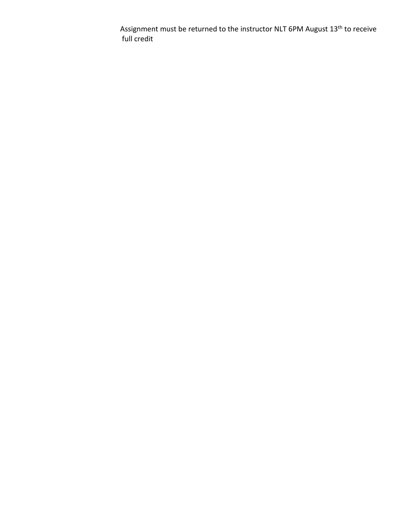Assignment must be returned to the instructor NLT 6PM August 13th to receive full credit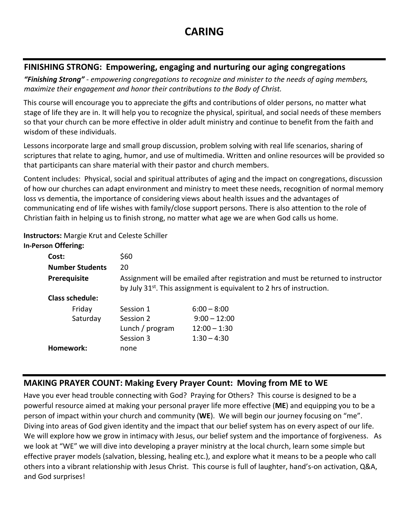#### **FINISHING STRONG: Empowering, engaging and nurturing our aging congregations**

*"Finishing Strong" - empowering congregations to recognize and minister to the needs of aging members, maximize their engagement and honor their contributions to the Body of Christ.*

This course will encourage you to appreciate the gifts and contributions of older persons, no matter what stage of life they are in. It will help you to recognize the physical, spiritual, and social needs of these members so that your church can be more effective in older adult ministry and continue to benefit from the faith and wisdom of these individuals.

Lessons incorporate large and small group discussion, problem solving with real life scenarios, sharing of scriptures that relate to aging, humor, and use of multimedia. Written and online resources will be provided so that participants can share material with their pastor and church members.

Content includes: Physical, social and spiritual attributes of aging and the impact on congregations, discussion of how our churches can adapt environment and ministry to meet these needs, recognition of normal memory loss vs dementia, the importance of considering views about health issues and the advantages of communicating end of life wishes with family/close support persons. There is also attention to the role of Christian faith in helping us to finish strong, no matter what age we are when God calls us home.

#### **Instructors:** Margie Krut and Celeste Schiller

#### **In-Person Offering:**

| Cost:                  | \$60                                                                                                                                                                  |                |
|------------------------|-----------------------------------------------------------------------------------------------------------------------------------------------------------------------|----------------|
| <b>Number Students</b> | 20                                                                                                                                                                    |                |
| Prerequisite           | Assignment will be emailed after registration and must be returned to instructor<br>by July 31 <sup>st</sup> . This assignment is equivalent to 2 hrs of instruction. |                |
| <b>Class schedule:</b> |                                                                                                                                                                       |                |
| Friday                 | Session 1                                                                                                                                                             | $6:00 - 8:00$  |
| Saturday               | Session 2                                                                                                                                                             | $9:00 - 12:00$ |
|                        | Lunch / program                                                                                                                                                       | $12:00 - 1:30$ |
|                        | Session 3                                                                                                                                                             | $1:30 - 4:30$  |
| Homework:              | none                                                                                                                                                                  |                |
|                        |                                                                                                                                                                       |                |

## **MAKING PRAYER COUNT: Making Every Prayer Count: Moving from ME to WE**

Have you ever head trouble connecting with God? Praying for Others? This course is designed to be a powerful resource aimed at making your personal prayer life more effective (**ME**) and equipping you to be a person of impact within your church and community (**WE**). We will begin our journey focusing on "me". Diving into areas of God given identity and the impact that our belief system has on every aspect of our life. We will explore how we grow in intimacy with Jesus, our belief system and the importance of forgiveness. As we look at "WE" we will dive into developing a prayer ministry at the local church, learn some simple but effective prayer models (salvation, blessing, healing etc.), and explore what it means to be a people who call others into a vibrant relationship with Jesus Christ. This course is full of laughter, hand's-on activation, Q&A, and God surprises!